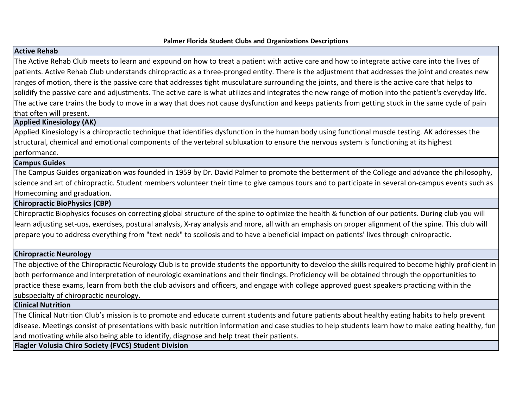#### **Palmer Florida Student Clubs and Organizations Descriptions**

# **Active Rehab**

The Active Rehab Club meets to learn and expound on how to treat a patient with active care and how to integrate active care into the lives of patients. Active Rehab Club understands chiropractic as a three-pronged entity. There is the adjustment that addresses the joint and creates new ranges of motion, there is the passive care that addresses tight musculature surrounding the joints, and there is the active care that helps to solidify the passive care and adjustments. The active care is what utilizes and integrates the new range of motion into the patient's everyday life. The active care trains the body to move in a way that does not cause dysfunction and keeps patients from getting stuck in the same cycle of pain that often will present.

### **Applied Kinesiology (AK)**

Applied Kinesiology is a chiropractic technique that identifies dysfunction in the human body using functional muscle testing. AK addresses the structural, chemical and emotional components of the vertebral subluxation to ensure the nervous system is functioning at its highest performance.

### **Campus Guides**

The Campus Guides organization was founded in 1959 by Dr. David Palmer to promote the betterment of the College and advance the philosophy, science and art of chiropractic. Student members volunteer their time to give campus tours and to participate in several on-campus events such as Homecoming and graduation.

### **Chiropractic BioPhysics (CBP)**

Chiropractic Biophysics focuses on correcting global structure of the spine to optimize the health & function of our patients. During club you will learn adjusting set-ups, exercises, postural analysis, X-ray analysis and more, all with an emphasis on proper alignment of the spine. This club will prepare you to address everything from "text neck" to scoliosis and to have a beneficial impact on patients' lives through chiropractic.

### **Chiropractic Neurology**

The objective of the Chiropractic Neurology Club is to provide students the opportunity to develop the skills required to become highly proficient in both performance and interpretation of neurologic examinations and their findings. Proficiency will be obtained through the opportunities to practice these exams, learn from both the club advisors and officers, and engage with college approved guest speakers practicing within the subspecialty of chiropractic neurology.

**Clinical Nutrition**

The Clinical Nutrition Club's mission is to promote and educate current students and future patients about healthy eating habits to help prevent disease. Meetings consist of presentations with basic nutrition information and case studies to help students learn how to make eating healthy, fun and motivating while also being able to identify, diagnose and help treat their patients.

**Flagler Volusia Chiro Society (FVCS) Student Division**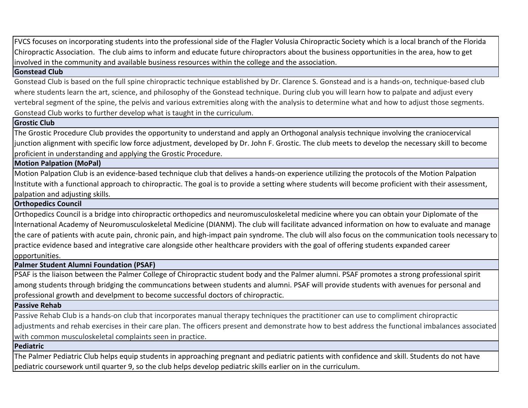FVCS focuses on incorporating students into the professional side of the Flagler Volusia Chiropractic Society which is a local branch of the Florida Chiropractic Association. The club aims to inform and educate future chiropractors about the business opportunities in the area, how to get involved in the community and available business resources within the college and the association.

#### **Gonstead Club**

Gonstead Club is based on the full spine chiropractic technique established by Dr. Clarence S. Gonstead and is a hands-on, technique-based club where students learn the art, science, and philosophy of the Gonstead technique. During club you will learn how to palpate and adjust every vertebral segment of the spine, the pelvis and various extremities along with the analysis to determine what and how to adjust those segments. Gonstead Club works to further develop what is taught in the curriculum.

### **Grostic Club**

The Grostic Procedure Club provides the opportunity to understand and apply an Orthogonal analysis technique involving the craniocervical junction alignment with specific low force adjustment, developed by Dr. John F. Grostic. The club meets to develop the necessary skill to become proficient in understanding and applying the Grostic Procedure.

# **Motion Palpation (MoPal)**

Motion Palpation Club is an evidence-based technique club that delives a hands-on experience utilizing the protocols of the Motion Palpation Institute with a functional approach to chiropractic. The goal is to provide a setting where students will become proficient with their assessment, palpation and adjusting skills.

### **Orthopedics Council**

Orthopedics Council is a bridge into chiropractic orthopedics and neuromusculoskeletal medicine where you can obtain your Diplomate of the International Academy of Neuromusculoskeletal Medicine (DIANM). The club will facilitate advanced information on how to evaluate and manage the care of patients with acute pain, chronic pain, and high-impact pain syndrome. The club will also focus on the communication tools necessary to practice evidence based and integrative care alongside other healthcare providers with the goal of offering students expanded career opportunities.

### **Palmer Student Alumni Foundation (PSAF)**

PSAF is the liaison between the Palmer College of Chiropractic student body and the Palmer alumni. PSAF promotes a strong professional spirit among students through bridging the communcations between students and alumni. PSAF will provide students with avenues for personal and professional growth and develpment to become successful doctors of chiropractic.

### **Passive Rehab**

Passive Rehab Club is a hands-on club that incorporates manual therapy techniques the practitioner can use to compliment chiropractic adjustments and rehab exercises in their care plan. The officers present and demonstrate how to best address the functional imbalances associated with common musculoskeletal complaints seen in practice.

### **Pediatric**

The Palmer Pediatric Club helps equip students in approaching pregnant and pediatric patients with confidence and skill. Students do not have pediatric coursework until quarter 9, so the club helps develop pediatric skills earlier on in the curriculum.